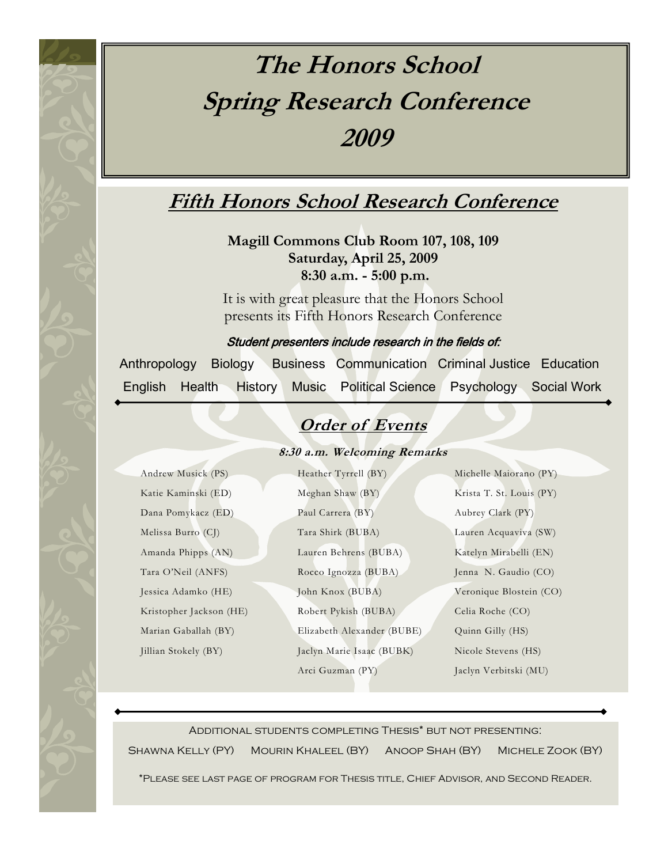# **The Honors School Spring Research Conference 2009**

## **Fifth Honors School Research Conference**

**Magill Commons Club Room 107, 108, 109 Saturday, April 25, 2009 8:30 a.m. - 5:00 p.m.**

It is with great pleasure that the Honors School presents its Fifth Honors Research Conference

Student presenters include research in the fields of:

 Anthropology Biology Business Communication Criminal Justice Education English Health History Music Political Science Psychology Social Work

## **Order of Events**

### **8:30 a.m. Welcoming Remarks**

| Andrew Musick (PS)      | Heather Tyrrell (BY)       | Michelle Maiorano (PY)   |
|-------------------------|----------------------------|--------------------------|
| Katie Kaminski (ED)     | Meghan Shaw (BY)           | Krista T. St. Louis (PY) |
| Dana Pomykacz (ED)      | Paul Carrera (BY)          | Aubrey Clark (PY)        |
| Melissa Burro (CJ)      | Tara Shirk (BUBA)          | Lauren Acquaviva (SW)    |
| Amanda Phipps (AN)      | Lauren Behrens (BUBA)      | Katelyn Mirabelli (EN)   |
| Tara O'Neil (ANFS)      | Rocco Ignozza (BUBA)       | Jenna N. Gaudio (CO)     |
| Jessica Adamko (HE)     | John Knox (BUBA)           | Veronique Blostein (CO)  |
| Kristopher Jackson (HE) | Robert Pykish (BUBA)       | Celia Roche (CO)         |
| Marian Gaballah (BY)    | Elizabeth Alexander (BUBE) | Quinn Gilly (HS)         |
| Jillian Stokely (BY)    | Jaclyn Marie Isaac (BUBK)  | Nicole Stevens (HS)      |
|                         | Arci Guzman (PY)           | Jaclyn Verbitski (MU)    |

Additional students completing Thesis\* but not presenting:

Shawna Kelly (PY) Mourin Khaleel (BY) Anoop Shah (BY) Michele Zook (BY)

\*Please see last page of program for Thesis title, Chief Advisor, and Second Reader.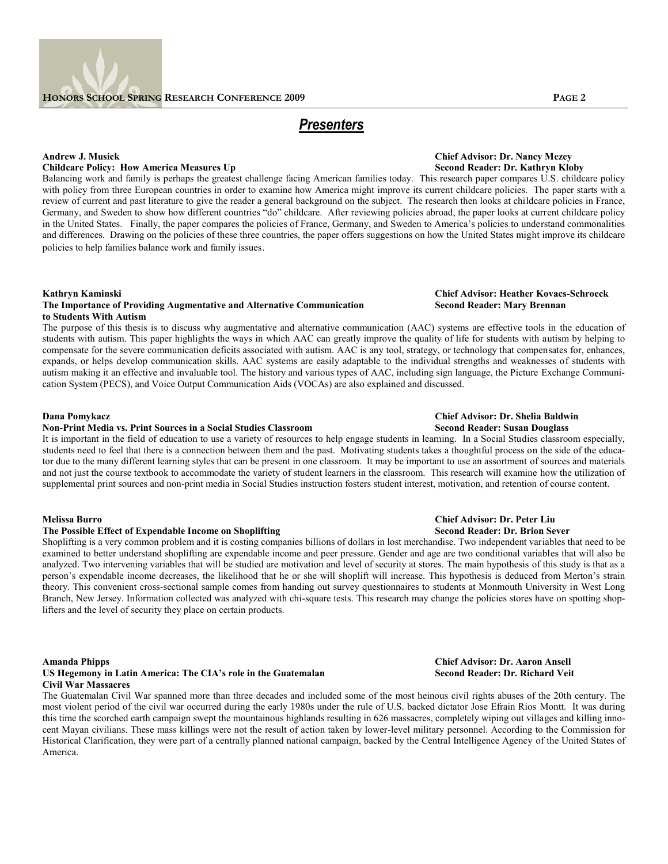### *Presenters*

## **Childcare Policy: How America Measures Up**

Balancing work and family is perhaps the greatest challenge facing American families today. This research paper compares U.S. childcare policy with policy from three European countries in order to examine how America might improve its current childcare policies. The paper starts with a review of current and past literature to give the reader a general background on the subject. The research then looks at childcare policies in France, Germany, and Sweden to show how different countries "do" childcare. After reviewing policies abroad, the paper looks at current childcare policy in the United States. Finally, the paper compares the policies of France, Germany, and Sweden to America's policies to understand commonalities and differences. Drawing on the policies of these three countries, the paper offers suggestions on how the United States might improve its childcare policies to help families balance work and family issues.

### **Kathryn Kaminski Chief Advisor: Heather Kovacs-Schroeck**

### **The Importance of Providing Augmentative and Alternative Communication Second Reader: Mary Brennan to Students With Autism**

The purpose of this thesis is to discuss why augmentative and alternative communication (AAC) systems are effective tools in the education of students with autism. This paper highlights the ways in which AAC can greatly improve the quality of life for students with autism by helping to compensate for the severe communication deficits associated with autism. AAC is any tool, strategy, or technology that compensates for, enhances, expands, or helps develop communication skills. AAC systems are easily adaptable to the individual strengths and weaknesses of students with autism making it an effective and invaluable tool. The history and various types of AAC, including sign language, the Picture Exchange Communication System (PECS), and Voice Output Communication Aids (VOCAs) are also explained and discussed.

### **Dana Pomykacz Chief Advisor: Dr. Shelia Baldwin Non-Print Media vs. Print Sources in a Social Studies Classroom**

It is important in the field of education to use a variety of resources to help engage students in learning. In a Social Studies classroom especially, students need to feel that there is a connection between them and the past. Motivating students takes a thoughtful process on the side of the educator due to the many different learning styles that can be present in one classroom. It may be important to use an assortment of sources and materials and not just the course textbook to accommodate the variety of student learners in the classroom. This research will examine how the utilization of supplemental print sources and non-print media in Social Studies instruction fosters student interest, motivation, and retention of course content.

### **The Possible Effect of Expendable Income on Shoplifting**

Shoplifting is a very common problem and it is costing companies billions of dollars in lost merchandise. Two independent variables that need to be examined to better understand shoplifting are expendable income and peer pressure. Gender and age are two conditional variables that will also be analyzed. Two intervening variables that will be studied are motivation and level of security at stores. The main hypothesis of this study is that as a person's expendable income decreases, the likelihood that he or she will shoplift will increase. This hypothesis is deduced from Merton's strain theory. This convenient cross-sectional sample comes from handing out survey questionnaires to students at Monmouth University in West Long Branch, New Jersey. Information collected was analyzed with chi-square tests. This research may change the policies stores have on spotting shoplifters and the level of security they place on certain products.

### **Amanda Phipps Chief Advisor: Dr. Aaron Ansell** US Hegemony in Latin America: The CIA's role in the Guatemalan *Second Reader: Dr. Richard Veit* **Civil War Massacres**

The Guatemalan Civil War spanned more than three decades and included some of the most heinous civil rights abuses of the 20th century. The most violent period of the civil war occurred during the early 1980s under the rule of U.S. backed dictator Jose Efrain Rios Montt. It was during this time the scorched earth campaign swept the mountainous highlands resulting in 626 massacres, completely wiping out villages and killing innocent Mayan civilians. These mass killings were not the result of action taken by lower-level military personnel. According to the Commission for Historical Clarification, they were part of a centrally planned national campaign, backed by the Central Intelligence Agency of the United States of America.

## **Andrew J. Musick Chief Advisor: Dr. Nancy Mezey**

## **Melissa Burro Chief Advisor: Dr. Peter Liu**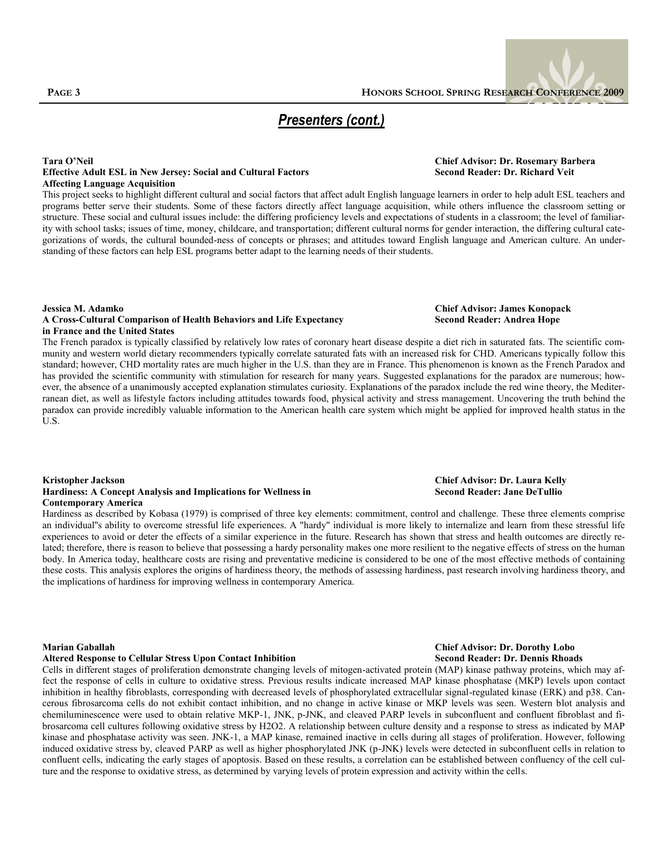### **Tara O'Neil Chief Advisor: Dr. Rosemary Barbera Effective Adult ESL in New Jersey: Social and Cultural Factors Second Reader: Dr. Richard Veit Affecting Language Acquisition**

This project seeks to highlight different cultural and social factors that affect adult English language learners in order to help adult ESL teachers and programs better serve their students. Some of these factors directly affect language acquisition, while others influence the classroom setting or structure. These social and cultural issues include: the differing proficiency levels and expectations of students in a classroom; the level of familiarity with school tasks; issues of time, money, childcare, and transportation; different cultural norms for gender interaction, the differing cultural categorizations of words, the cultural bounded-ness of concepts or phrases; and attitudes toward English language and American culture. An understanding of these factors can help ESL programs better adapt to the learning needs of their students.

### **Jessica M. Adamko Chief Advisor: James Konopack A Cross-Cultural Comparison of Health Behaviors and Life Expectancy in France and the United States**

The French paradox is typically classified by relatively low rates of coronary heart disease despite a diet rich in saturated fats. The scientific community and western world dietary recommenders typically correlate saturated fats with an increased risk for CHD. Americans typically follow this standard; however, CHD mortality rates are much higher in the U.S. than they are in France. This phenomenon is known as the French Paradox and has provided the scientific community with stimulation for research for many years. Suggested explanations for the paradox are numerous; however, the absence of a unanimously accepted explanation stimulates curiosity. Explanations of the paradox include the red wine theory, the Mediterranean diet, as well as lifestyle factors including attitudes towards food, physical activity and stress management. Uncovering the truth behind the paradox can provide incredibly valuable information to the American health care system which might be applied for improved health status in the U.S.

### **Kristopher Jackson Chief Advisor: Dr. Laura Kelly Hardiness: A Concept Analysis and Implications for Wellness in**

**Contemporary America**

Hardiness as described by Kobasa (1979) is comprised of three key elements: commitment, control and challenge. These three elements comprise an individual''s ability to overcome stressful life experiences. A "hardy" individual is more likely to internalize and learn from these stressful life experiences to avoid or deter the effects of a similar experience in the future. Research has shown that stress and health outcomes are directly related; therefore, there is reason to believe that possessing a hardy personality makes one more resilient to the negative effects of stress on the human body. In America today, healthcare costs are rising and preventative medicine is considered to be one of the most effective methods of containing these costs. This analysis explores the origins of hardiness theory, the methods of assessing hardiness, past research involving hardiness theory, and the implications of hardiness for improving wellness in contemporary America.

### **Altered Response to Cellular Stress Upon Contact Inhibition Second Reader: Dr. Dennis Rhoads**

Cells in different stages of proliferation demonstrate changing levels of mitogen-activated protein (MAP) kinase pathway proteins, which may affect the response of cells in culture to oxidative stress. Previous results indicate increased MAP kinase phosphatase (MKP) levels upon contact inhibition in healthy fibroblasts, corresponding with decreased levels of phosphorylated extracellular signal-regulated kinase (ERK) and p38. Cancerous fibrosarcoma cells do not exhibit contact inhibition, and no change in active kinase or MKP levels was seen. Western blot analysis and chemiluminescence were used to obtain relative MKP-1, JNK, p-JNK, and cleaved PARP levels in subconfluent and confluent fibroblast and fibrosarcoma cell cultures following oxidative stress by H2O2. A relationship between culture density and a response to stress as indicated by MAP kinase and phosphatase activity was seen. JNK-1, a MAP kinase, remained inactive in cells during all stages of proliferation. However, following induced oxidative stress by, cleaved PARP as well as higher phosphorylated JNK (p-JNK) levels were detected in subconfluent cells in relation to confluent cells, indicating the early stages of apoptosis. Based on these results, a correlation can be established between confluency of the cell culture and the response to oxidative stress, as determined by varying levels of protein expression and activity within the cells.

## **Marian Gaballah Chief Advisor: Dr. Dorothy Lobo**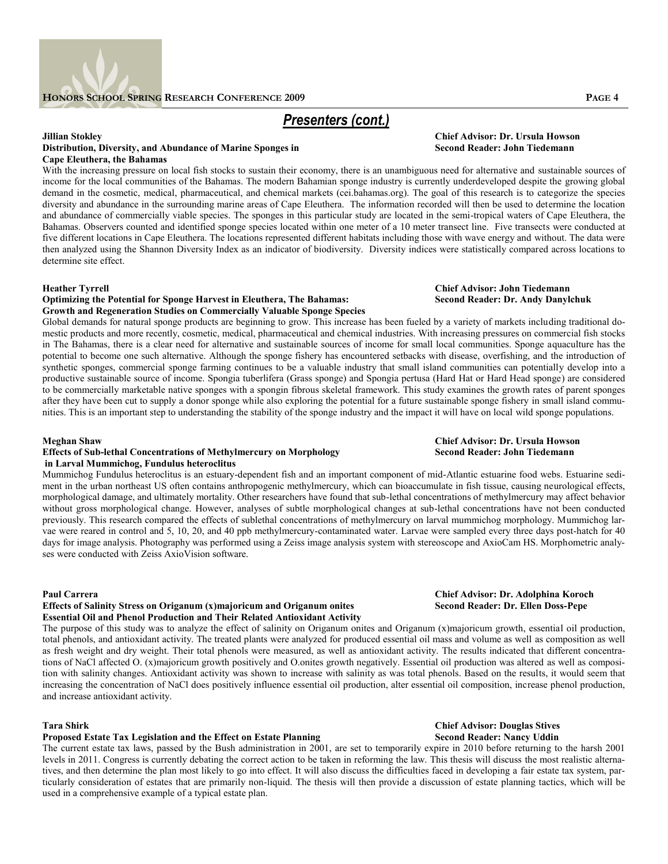

### **Distribution, Diversity, and Abundance of Marine Sponges in Cape Eleuthera, the Bahamas**

With the increasing pressure on local fish stocks to sustain their economy, there is an unambiguous need for alternative and sustainable sources of income for the local communities of the Bahamas. The modern Bahamian sponge industry is currently underdeveloped despite the growing global demand in the cosmetic, medical, pharmaceutical, and chemical markets (cei.bahamas.org). The goal of this research is to categorize the species diversity and abundance in the surrounding marine areas of Cape Eleuthera. The information recorded will then be used to determine the location and abundance of commercially viable species. The sponges in this particular study are located in the semi-tropical waters of Cape Eleuthera, the Bahamas. Observers counted and identified sponge species located within one meter of a 10 meter transect line. Five transects were conducted at five different locations in Cape Eleuthera. The locations represented different habitats including those with wave energy and without. The data were then analyzed using the Shannon Diversity Index as an indicator of biodiversity. Diversity indices were statistically compared across locations to determine site effect.

### **Optimizing the Potential for Sponge Harvest in Eleuthera, The Bahamas: Second Reader: Dr. Andy Danylchuk Growth and Regeneration Studies on Commercially Valuable Sponge Species**

Global demands for natural sponge products are beginning to grow. This increase has been fueled by a variety of markets including traditional domestic products and more recently, cosmetic, medical, pharmaceutical and chemical industries. With increasing pressures on commercial fish stocks in The Bahamas, there is a clear need for alternative and sustainable sources of income for small local communities. Sponge aquaculture has the potential to become one such alternative. Although the sponge fishery has encountered setbacks with disease, overfishing, and the introduction of synthetic sponges, commercial sponge farming continues to be a valuable industry that small island communities can potentially develop into a productive sustainable source of income. Spongia tuberlifera (Grass sponge) and Spongia pertusa (Hard Hat or Hard Head sponge) are considered to be commercially marketable native sponges with a spongin fibrous skeletal framework. This study examines the growth rates of parent sponges after they have been cut to supply a donor sponge while also exploring the potential for a future sustainable sponge fishery in small island communities. This is an important step to understanding the stability of the sponge industry and the impact it will have on local wild sponge populations.

### **Effects of Sub-lethal Concentrations of Methylmercury on Morphology in Larval Mummichog, Fundulus heteroclitus**

Mummichog Fundulus heteroclitus is an estuary-dependent fish and an important component of mid-Atlantic estuarine food webs. Estuarine sediment in the urban northeast US often contains anthropogenic methylmercury, which can bioaccumulate in fish tissue, causing neurological effects, morphological damage, and ultimately mortality. Other researchers have found that sub-lethal concentrations of methylmercury may affect behavior without gross morphological change. However, analyses of subtle morphological changes at sub-lethal concentrations have not been conducted previously. This research compared the effects of sublethal concentrations of methylmercury on larval mummichog morphology. Mummichog larvae were reared in control and 5, 10, 20, and 40 ppb methylmercury-contaminated water. Larvae were sampled every three days post-hatch for 40 days for image analysis. Photography was performed using a Zeiss image analysis system with stereoscope and AxioCam HS. Morphometric analyses were conducted with Zeiss AxioVision software.

### **Effects of Salinity Stress on Origanum (x)majoricum and Origanum onites Essential Oil and Phenol Production and Their Related Antioxidant Activity**

The purpose of this study was to analyze the effect of salinity on Origanum onites and Origanum (x)majoricum growth, essential oil production, total phenols, and antioxidant activity. The treated plants were analyzed for produced essential oil mass and volume as well as composition as well as fresh weight and dry weight. Their total phenols were measured, as well as antioxidant activity. The results indicated that different concentrations of NaCl affected O. (x)majoricum growth positively and O.onites growth negatively. Essential oil production was altered as well as composition with salinity changes. Antioxidant activity was shown to increase with salinity as was total phenols. Based on the results, it would seem that increasing the concentration of NaCl does positively influence essential oil production, alter essential oil composition, increase phenol production, and increase antioxidant activity.

### **Tara Shirk Chief Advisor: Douglas Stives**

### **Proposed Estate Tax Legislation and the Effect on Estate Planning Second Reader: Nancy Uddin**

The current estate tax laws, passed by the Bush administration in 2001, are set to temporarily expire in 2010 before returning to the harsh 2001 levels in 2011. Congress is currently debating the correct action to be taken in reforming the law. This thesis will discuss the most realistic alternatives, and then determine the plan most likely to go into effect. It will also discuss the difficulties faced in developing a fair estate tax system, particularly consideration of estates that are primarily non-liquid. The thesis will then provide a discussion of estate planning tactics, which will be used in a comprehensive example of a typical estate plan.

## **Jillian Stokley Chief Advisor: Dr. Ursula Howson**

## **Meghan Shaw Chief Advisor: Dr. Ursula Howson**

## **Paul Carrera Chief Advisor: Dr. Adolphina Koroch**

## **Heather Tyrrell Chief Advisor: John Tiedemann**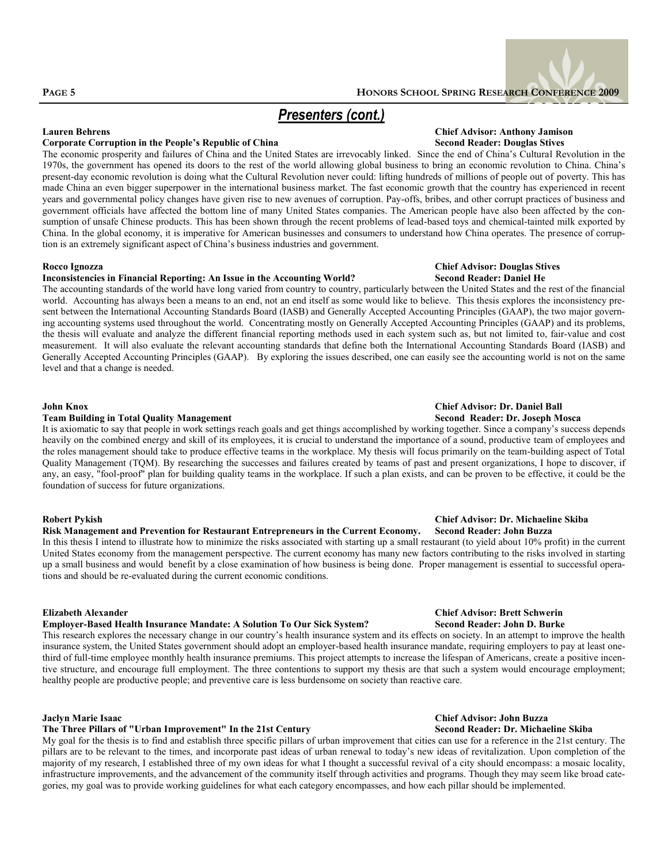### **Corporate Corruption in the People's Republic of China Second Reader: Douglas Stives Second Reader: Douglas Stives**

The economic prosperity and failures of China and the United States are irrevocably linked. Since the end of China's Cultural Revolution in the 1970s, the government has opened its doors to the rest of the world allowing global business to bring an economic revolution to China. China's present-day economic revolution is doing what the Cultural Revolution never could: lifting hundreds of millions of people out of poverty. This has made China an even bigger superpower in the international business market. The fast economic growth that the country has experienced in recent years and governmental policy changes have given rise to new avenues of corruption. Pay-offs, bribes, and other corrupt practices of business and government officials have affected the bottom line of many United States companies. The American people have also been affected by the consumption of unsafe Chinese products. This has been shown through the recent problems of lead-based toys and chemical-tainted milk exported by China. In the global economy, it is imperative for American businesses and consumers to understand how China operates. The presence of corruption is an extremely significant aspect of China's business industries and government.

### **Inconsistencies in Financial Reporting: An Issue in the Accounting World?**

The accounting standards of the world have long varied from country to country, particularly between the United States and the rest of the financial world. Accounting has always been a means to an end, not an end itself as some would like to believe. This thesis explores the inconsistency present between the International Accounting Standards Board (IASB) and Generally Accepted Accounting Principles (GAAP), the two major governing accounting systems used throughout the world. Concentrating mostly on Generally Accepted Accounting Principles (GAAP) and its problems, the thesis will evaluate and analyze the different financial reporting methods used in each system such as, but not limited to, fair-value and cost measurement. It will also evaluate the relevant accounting standards that define both the International Accounting Standards Board (IASB) and Generally Accepted Accounting Principles (GAAP). By exploring the issues described, one can easily see the accounting world is not on the same level and that a change is needed.

### **Team Building in Total Quality Management**

It is axiomatic to say that people in work settings reach goals and get things accomplished by working together. Since a company's success depends heavily on the combined energy and skill of its employees, it is crucial to understand the importance of a sound, productive team of employees and the roles management should take to produce effective teams in the workplace. My thesis will focus primarily on the team-building aspect of Total Quality Management (TQM). By researching the successes and failures created by teams of past and present organizations, I hope to discover, if any, an easy, "fool-proof" plan for building quality teams in the workplace. If such a plan exists, and can be proven to be effective, it could be the foundation of success for future organizations.

### **Robert Pykish Chief Advisor: Dr. Michaeline Skiba Risk Management and Prevention for Restaurant Entrepreneurs in the Current Economy.**

In this thesis I intend to illustrate how to minimize the risks associated with starting up a small restaurant (to yield about 10% profit) in the current United States economy from the management perspective. The current economy has many new factors contributing to the risks involved in starting up a small business and would benefit by a close examination of how business is being done. Proper management is essential to successful operations and should be re-evaluated during the current economic conditions.

### **Employer-Based Health Insurance Mandate: A Solution To Our Sick System? Second Reader: John D. Burke**

This research explores the necessary change in our country's health insurance system and its effects on society. In an attempt to improve the health insurance system, the United States government should adopt an employer-based health insurance mandate, requiring employers to pay at least onethird of full-time employee monthly health insurance premiums. This project attempts to increase the lifespan of Americans, create a positive incentive structure, and encourage full employment. The three contentions to support my thesis are that such a system would encourage employment; healthy people are productive people; and preventive care is less burdensome on society than reactive care.

### **Jaclyn Marie Isaac Chief Advisor: John Buzza**

### **The Three Pillars of "Urban Improvement" In the 21st Century Second Reader: Dr. Michaeline Skiba**

My goal for the thesis is to find and establish three specific pillars of urban improvement that cities can use for a reference in the 21st century. The pillars are to be relevant to the times, and incorporate past ideas of urban renewal to today's new ideas of revitalization. Upon completion of the majority of my research, I established three of my own ideas for what I thought a successful revival of a city should encompass: a mosaic locality, infrastructure improvements, and the advancement of the community itself through activities and programs. Though they may seem like broad categories, my goal was to provide working guidelines for what each category encompasses, and how each pillar should be implemented.

## **Lauren Behrens Chief Advisor: Anthony Jamison**

## **Rocco Ignozza Chief Advisor: Douglas Stives**

## **John Knox Chief Advisor: Dr. Daniel Ball**

## **Elizabeth Alexander Chief Advisor: Brett Schwerin**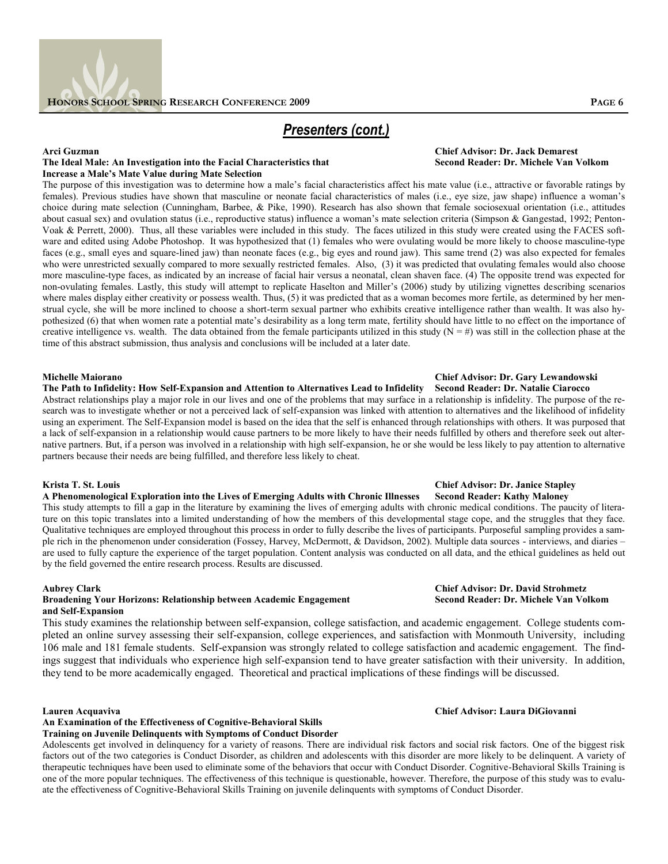

### The Ideal Male: An Investigation into the Facial Characteristics that **Increase a Male's Mate Value during Mate Selection**

The purpose of this investigation was to determine how a male's facial characteristics affect his mate value (i.e., attractive or favorable ratings by females). Previous studies have shown that masculine or neonate facial characteristics of males (i.e., eye size, jaw shape) influence a woman's choice during mate selection (Cunningham, Barbee, & Pike, 1990). Research has also shown that female sociosexual orientation (i.e., attitudes about casual sex) and ovulation status (i.e., reproductive status) influence a woman's mate selection criteria (Simpson & Gangestad, 1992; Penton-Voak & Perrett, 2000). Thus, all these variables were included in this study. The faces utilized in this study were created using the FACES software and edited using Adobe Photoshop. It was hypothesized that (1) females who were ovulating would be more likely to choose masculine-type faces (e.g., small eyes and square-lined jaw) than neonate faces (e.g., big eyes and round jaw). This same trend (2) was also expected for females who were unrestricted sexually compared to more sexually restricted females. Also, (3) it was predicted that ovulating females would also choose more masculine-type faces, as indicated by an increase of facial hair versus a neonatal, clean shaven face. (4) The opposite trend was expected for non-ovulating females. Lastly, this study will attempt to replicate Haselton and Miller's (2006) study by utilizing vignettes describing scenarios where males display either creativity or possess wealth. Thus, (5) it was predicted that as a woman becomes more fertile, as determined by her menstrual cycle, she will be more inclined to choose a short-term sexual partner who exhibits creative intelligence rather than wealth. It was also hypothesized (6) that when women rate a potential mate's desirability as a long term mate, fertility should have little to no effect on the importance of creative intelligence vs. wealth. The data obtained from the female participants utilized in this study  $(N = #)$  was still in the collection phase at the time of this abstract submission, thus analysis and conclusions will be included at a later date.

### **The Path to Infidelity: How Self-Expansion and Attention to Alternatives Lead to Infidelity Second Reader: Dr. Natalie Ciarocco**

Abstract relationships play a major role in our lives and one of the problems that may surface in a relationship is infidelity. The purpose of the research was to investigate whether or not a perceived lack of self-expansion was linked with attention to alternatives and the likelihood of infidelity using an experiment. The Self-Expansion model is based on the idea that the self is enhanced through relationships with others. It was purposed that a lack of self-expansion in a relationship would cause partners to be more likely to have their needs fulfilled by others and therefore seek out alternative partners. But, if a person was involved in a relationship with high self-expansion, he or she would be less likely to pay attention to alternative partners because their needs are being fulfilled, and therefore less likely to cheat.

### **Krista T. St. Louis Chief Advisor: Dr. Janice Stapley** A Phenomenological Exploration into the Lives of Emerging Adults with Chronic Illnesses

This study attempts to fill a gap in the literature by examining the lives of emerging adults with chronic medical conditions. The paucity of literature on this topic translates into a limited understanding of how the members of this developmental stage cope, and the struggles that they face. Qualitative techniques are employed throughout this process in order to fully describe the lives of participants. Purposeful sampling provides a sample rich in the phenomenon under consideration (Fossey, Harvey, McDermott, & Davidson, 2002). Multiple data sources - interviews, and diaries – are used to fully capture the experience of the target population. Content analysis was conducted on all data, and the ethical guidelines as held out by the field governed the entire research process. Results are discussed.

### **Broadening Your Horizons: Relationship between Academic Engagement and Self-Expansion**

This study examines the relationship between self-expansion, college satisfaction, and academic engagement. College students completed an online survey assessing their self-expansion, college experiences, and satisfaction with Monmouth University, including 106 male and 181 female students. Self-expansion was strongly related to college satisfaction and academic engagement. The findings suggest that individuals who experience high self-expansion tend to have greater satisfaction with their university. In addition, they tend to be more academically engaged. Theoretical and practical implications of these findings will be discussed.

### **An Examination of the Effectiveness of Cognitive-Behavioral Skills**

**Training on Juvenile Delinquents with Symptoms of Conduct Disorder**

Adolescents get involved in delinquency for a variety of reasons. There are individual risk factors and social risk factors. One of the biggest risk factors out of the two categories is Conduct Disorder, as children and adolescents with this disorder are more likely to be delinquent. A variety of therapeutic techniques have been used to eliminate some of the behaviors that occur with Conduct Disorder. Cognitive-Behavioral Skills Training is one of the more popular techniques. The effectiveness of this technique is questionable, however. Therefore, the purpose of this study was to evaluate the effectiveness of Cognitive-Behavioral Skills Training on juvenile delinquents with symptoms of Conduct Disorder.

## **Arci Guzman Chief Advisor: Dr. Jack Demarest**

## **Michelle Maiorano Chief Advisor: Dr. Gary Lewandowski**

## **Aubrey Clark Chief Advisor: Dr. David Strohmetz**

### **Lauren Acquaviva Chief Advisor: Laura DiGiovanni**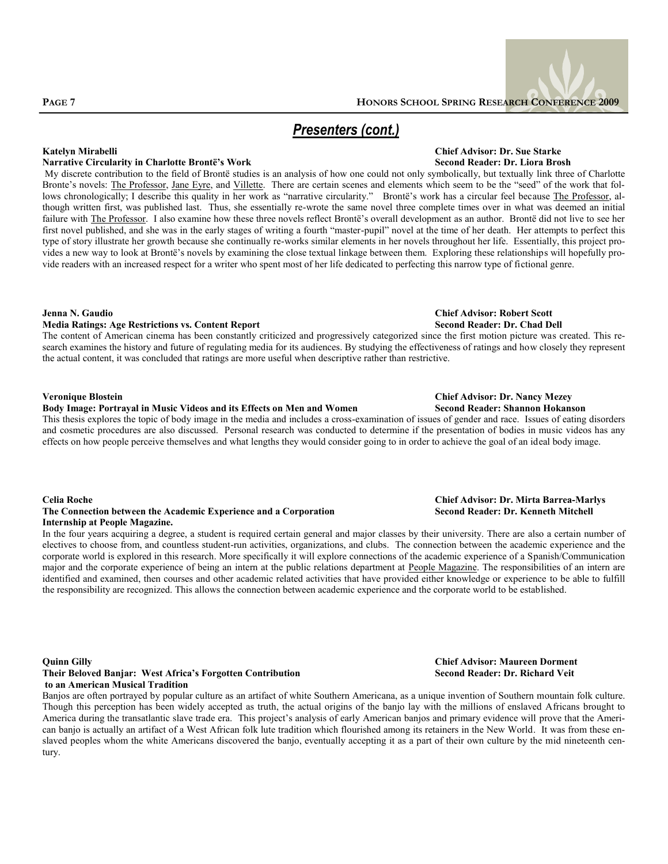

### **Narrative Circularity in Charlotte Brontë's Work**

My discrete contribution to the field of Brontë studies is an analysis of how one could not only symbolically, but textually link three of Charlotte Bronte's novels: The Professor, Jane Eyre, and Villette. There are certain scenes and elements which seem to be the "seed" of the work that follows chronologically; I describe this quality in her work as "narrative circularity." Brontë's work has a circular feel because The Professor, although written first, was published last. Thus, she essentially re-wrote the same novel three complete times over in what was deemed an initial failure with The Professor. I also examine how these three novels reflect Brontë's overall development as an author. Brontë did not live to see her first novel published, and she was in the early stages of writing a fourth "master-pupil" novel at the time of her death. Her attempts to perfect this type of story illustrate her growth because she continually re-works similar elements in her novels throughout her life. Essentially, this project provides a new way to look at Brontë's novels by examining the close textual linkage between them. Exploring these relationships will hopefully provide readers with an increased respect for a writer who spent most of her life dedicated to perfecting this narrow type of fictional genre.

### **Jenna N. Gaudio Chief Advisor: Robert Scott Media Ratings: Age Restrictions vs. Content Report**

The content of American cinema has been constantly criticized and progressively categorized since the first motion picture was created. This research examines the history and future of regulating media for its audiences. By studying the effectiveness of ratings and how closely they represent the actual content, it was concluded that ratings are more useful when descriptive rather than restrictive.

### **Veronique Blostein Chief Advisor: Dr. Nancy Mezey**

### **Body Image: Portrayal in Music Videos and its Effects on Men and Women Second Reader: Shannon Hokanson**

This thesis explores the topic of body image in the media and includes a cross-examination of issues of gender and race. Issues of eating disorders and cosmetic procedures are also discussed. Personal research was conducted to determine if the presentation of bodies in music videos has any effects on how people perceive themselves and what lengths they would consider going to in order to achieve the goal of an ideal body image.

### The Connection between the Academic Experience and a Corporation **Internship at People Magazine.**

In the four years acquiring a degree, a student is required certain general and major classes by their university. There are also a certain number of electives to choose from, and countless student-run activities, organizations, and clubs. The connection between the academic experience and the corporate world is explored in this research. More specifically it will explore connections of the academic experience of a Spanish/Communication major and the corporate experience of being an intern at the public relations department at People Magazine. The responsibilities of an intern are identified and examined, then courses and other academic related activities that have provided either knowledge or experience to be able to fulfill the responsibility are recognized. This allows the connection between academic experience and the corporate world to be established.

### **Quinn Gilly Chief Advisor: Maureen Dorment Their Beloved Banjar: West Africa's Forgotten Contribution Second Reader: Dr. Richard Veit to an American Musical Tradition**

Banjos are often portrayed by popular culture as an artifact of white Southern Americana, as a unique invention of Southern mountain folk culture. Though this perception has been widely accepted as truth, the actual origins of the banjo lay with the millions of enslaved Africans brought to America during the transatlantic slave trade era. This project's analysis of early American banjos and primary evidence will prove that the American banjo is actually an artifact of a West African folk lute tradition which flourished among its retainers in the New World. It was from these enslaved peoples whom the white Americans discovered the banjo, eventually accepting it as a part of their own culture by the mid nineteenth century.

## **Katelyn Mirabelli Chief Advisor: Dr. Sue Starke**

## **Celia Roche Chief Advisor: Dr. Mirta Barrea-Marlys**